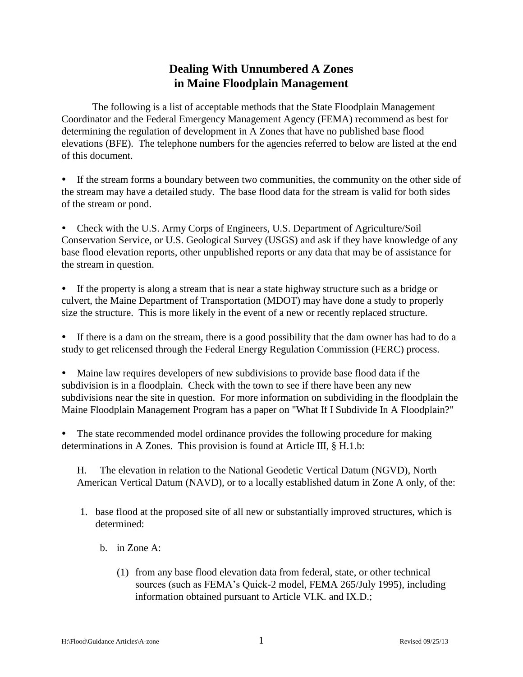# **Dealing With Unnumbered A Zones in Maine Floodplain Management**

The following is a list of acceptable methods that the State Floodplain Management Coordinator and the Federal Emergency Management Agency (FEMA) recommend as best for determining the regulation of development in A Zones that have no published base flood elevations (BFE). The telephone numbers for the agencies referred to below are listed at the end of this document.

 If the stream forms a boundary between two communities, the community on the other side of the stream may have a detailed study. The base flood data for the stream is valid for both sides of the stream or pond.

• Check with the U.S. Army Corps of Engineers, U.S. Department of Agriculture/Soil Conservation Service, or U.S. Geological Survey (USGS) and ask if they have knowledge of any base flood elevation reports, other unpublished reports or any data that may be of assistance for the stream in question.

 If the property is along a stream that is near a state highway structure such as a bridge or culvert, the Maine Department of Transportation (MDOT) may have done a study to properly size the structure. This is more likely in the event of a new or recently replaced structure.

 If there is a dam on the stream, there is a good possibility that the dam owner has had to do a study to get relicensed through the Federal Energy Regulation Commission (FERC) process.

 Maine law requires developers of new subdivisions to provide base flood data if the subdivision is in a floodplain. Check with the town to see if there have been any new subdivisions near the site in question. For more information on subdividing in the floodplain the Maine Floodplain Management Program has a paper on "What If I Subdivide In A Floodplain?"

 The state recommended model ordinance provides the following procedure for making determinations in A Zones. This provision is found at Article III, § H.1.b:

H. The elevation in relation to the National Geodetic Vertical Datum (NGVD), North American Vertical Datum (NAVD), or to a locally established datum in Zone A only, of the:

- 1. base flood at the proposed site of all new or substantially improved structures, which is determined:
	- b. in Zone A:
		- (1) from any base flood elevation data from federal, state, or other technical sources (such as FEMA's Quick-2 model, FEMA 265/July 1995), including information obtained pursuant to Article VI.K. and IX.D.;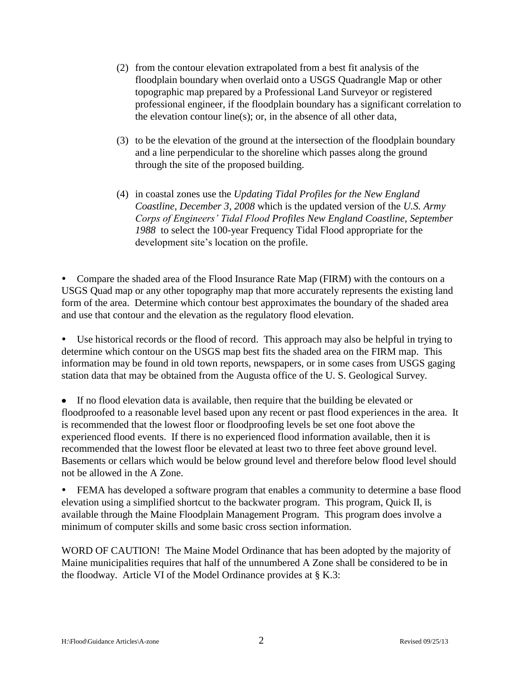- (2) from the contour elevation extrapolated from a best fit analysis of the floodplain boundary when overlaid onto a USGS Quadrangle Map or other topographic map prepared by a Professional Land Surveyor or registered professional engineer, if the floodplain boundary has a significant correlation to the elevation contour line(s); or, in the absence of all other data,
- (3) to be the elevation of the ground at the intersection of the floodplain boundary and a line perpendicular to the shoreline which passes along the ground through the site of the proposed building.
- (4) in coastal zones use the *Updating Tidal Profiles for the New England Coastline, December 3, 2008* which is the updated version of the *U.S. Army Corps of Engineers' Tidal Flood Profiles New England Coastline, September 1988* to select the 100-year Frequency Tidal Flood appropriate for the development site's location on the profile.

 Compare the shaded area of the Flood Insurance Rate Map (FIRM) with the contours on a USGS Quad map or any other topography map that more accurately represents the existing land form of the area. Determine which contour best approximates the boundary of the shaded area and use that contour and the elevation as the regulatory flood elevation.

 Use historical records or the flood of record. This approach may also be helpful in trying to determine which contour on the USGS map best fits the shaded area on the FIRM map. This information may be found in old town reports, newspapers, or in some cases from USGS gaging station data that may be obtained from the Augusta office of the U. S. Geological Survey.

If no flood elevation data is available, then require that the building be elevated or floodproofed to a reasonable level based upon any recent or past flood experiences in the area. It is recommended that the lowest floor or floodproofing levels be set one foot above the experienced flood events. If there is no experienced flood information available, then it is recommended that the lowest floor be elevated at least two to three feet above ground level. Basements or cellars which would be below ground level and therefore below flood level should not be allowed in the A Zone.

 FEMA has developed a software program that enables a community to determine a base flood elevation using a simplified shortcut to the backwater program. This program, Quick II, is available through the Maine Floodplain Management Program. This program does involve a minimum of computer skills and some basic cross section information.

WORD OF CAUTION! The Maine Model Ordinance that has been adopted by the majority of Maine municipalities requires that half of the unnumbered A Zone shall be considered to be in the floodway. Article VI of the Model Ordinance provides at § K.3: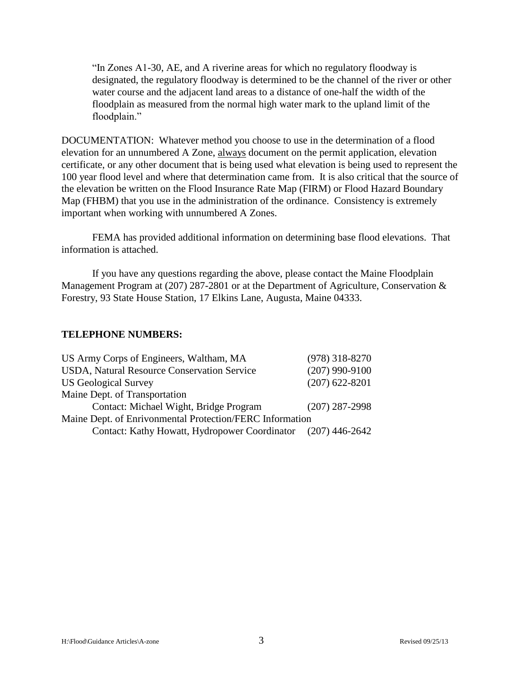"In Zones A1-30, AE, and A riverine areas for which no regulatory floodway is designated, the regulatory floodway is determined to be the channel of the river or other water course and the adjacent land areas to a distance of one-half the width of the floodplain as measured from the normal high water mark to the upland limit of the floodplain."

DOCUMENTATION: Whatever method you choose to use in the determination of a flood elevation for an unnumbered A Zone, always document on the permit application, elevation certificate, or any other document that is being used what elevation is being used to represent the 100 year flood level and where that determination came from. It is also critical that the source of the elevation be written on the Flood Insurance Rate Map (FIRM) or Flood Hazard Boundary Map (FHBM) that you use in the administration of the ordinance. Consistency is extremely important when working with unnumbered A Zones.

FEMA has provided additional information on determining base flood elevations. That information is attached.

If you have any questions regarding the above, please contact the Maine Floodplain Management Program at (207) 287-2801 or at the Department of Agriculture, Conservation & Forestry, 93 State House Station, 17 Elkins Lane, Augusta, Maine 04333.

#### **TELEPHONE NUMBERS:**

| US Army Corps of Engineers, Waltham, MA                      | $(978)$ 318-8270 |
|--------------------------------------------------------------|------------------|
| USDA, Natural Resource Conservation Service                  | $(207)$ 990-9100 |
| <b>US Geological Survey</b>                                  | $(207)$ 622-8201 |
| Maine Dept. of Transportation                                |                  |
| Contact: Michael Wight, Bridge Program                       | $(207)$ 287-2998 |
| Maine Dept. of Enrivonmental Protection/FERC Information     |                  |
| Contact: Kathy Howatt, Hydropower Coordinator (207) 446-2642 |                  |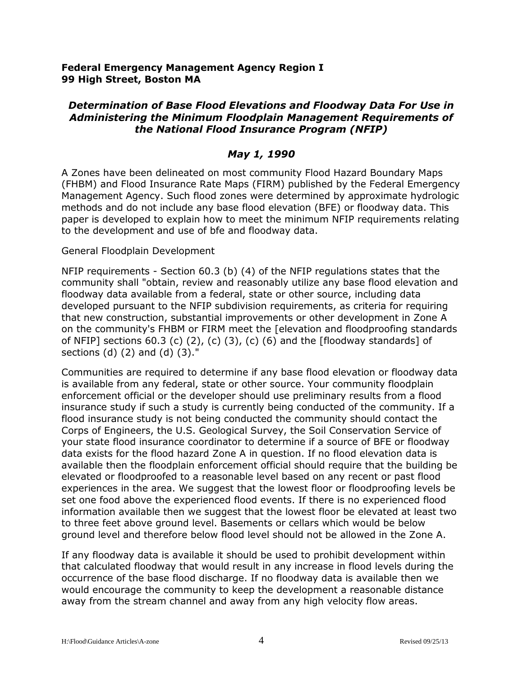## **Federal Emergency Management Agency Region I 99 High Street, Boston MA**

# *Determination of Base Flood Elevations and Floodway Data For Use in Administering the Minimum Floodplain Management Requirements of the National Flood Insurance Program (NFIP)*

# *May 1, 1990*

A Zones have been delineated on most community Flood Hazard Boundary Maps (FHBM) and Flood Insurance Rate Maps (FIRM) published by the Federal Emergency Management Agency. Such flood zones were determined by approximate hydrologic methods and do not include any base flood elevation (BFE) or floodway data. This paper is developed to explain how to meet the minimum NFIP requirements relating to the development and use of bfe and floodway data.

## General Floodplain Development

NFIP requirements - Section 60.3 (b) (4) of the NFIP regulations states that the community shall "obtain, review and reasonably utilize any base flood elevation and floodway data available from a federal, state or other source, including data developed pursuant to the NFIP subdivision requirements, as criteria for requiring that new construction, substantial improvements or other development in Zone A on the community's FHBM or FIRM meet the [elevation and floodproofing standards of NFIP] sections 60.3 (c)  $(2)$ ,  $(c)$   $(3)$ ,  $(c)$   $(6)$  and the [floodway standards] of sections (d) (2) and (d) (3)."

Communities are required to determine if any base flood elevation or floodway data is available from any federal, state or other source. Your community floodplain enforcement official or the developer should use preliminary results from a flood insurance study if such a study is currently being conducted of the community. If a flood insurance study is not being conducted the community should contact the Corps of Engineers, the U.S. Geological Survey, the Soil Conservation Service of your state flood insurance coordinator to determine if a source of BFE or floodway data exists for the flood hazard Zone A in question. If no flood elevation data is available then the floodplain enforcement official should require that the building be elevated or floodproofed to a reasonable level based on any recent or past flood experiences in the area. We suggest that the lowest floor or floodproofing levels be set one food above the experienced flood events. If there is no experienced flood information available then we suggest that the lowest floor be elevated at least two to three feet above ground level. Basements or cellars which would be below ground level and therefore below flood level should not be allowed in the Zone A.

If any floodway data is available it should be used to prohibit development within that calculated floodway that would result in any increase in flood levels during the occurrence of the base flood discharge. If no floodway data is available then we would encourage the community to keep the development a reasonable distance away from the stream channel and away from any high velocity flow areas.